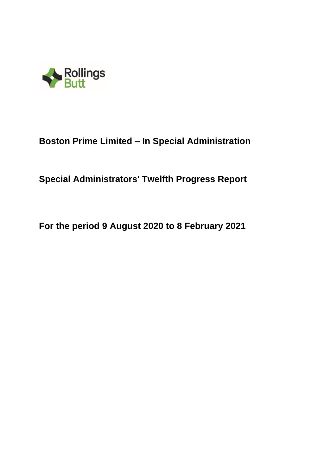

# **Boston Prime Limited – In Special Administration**

**Special Administrators' Twelfth Progress Report**

**For the period 9 August 2020 to 8 February 2021**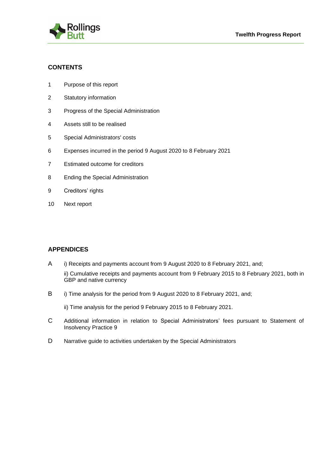



# **CONTENTS**

- 1 Purpose of this report
- 2 Statutory information
- 3 Progress of the Special Administration
- 4 Assets still to be realised
- 5 Special Administrators' costs
- 6 Expenses incurred in the period 9 August 2020 to 8 February 2021
- 7 Estimated outcome for creditors
- 8 Ending the Special Administration
- 9 Creditors' rights
- 10 Next report

# **APPENDICES**

- A i) Receipts and payments account from 9 August 2020 to 8 February 2021, and;
	- ii) Cumulative receipts and payments account from 9 February 2015 to 8 February 2021, both in GBP and native currency
- B i) Time analysis for the period from 9 August 2020 to 8 February 2021, and;

ii) Time analysis for the period 9 February 2015 to 8 February 2021.

- C Additional information in relation to Special Administrators' fees pursuant to Statement of Insolvency Practice 9
- D Narrative guide to activities undertaken by the Special Administrators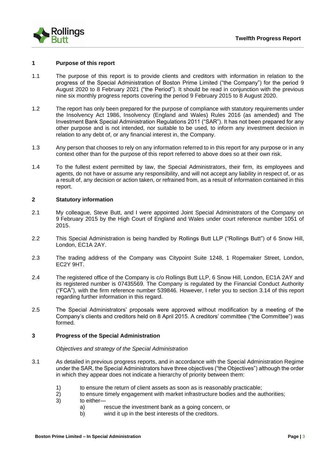

#### **1 Purpose of this report**

- 1.1 The purpose of this report is to provide clients and creditors with information in relation to the progress of the Special Administration of Boston Prime Limited ("the Company") for the period 9 August 2020 to 8 February 2021 ("the Period"). It should be read in conjunction with the previous nine six monthly progress reports covering the period 9 February 2015 to 8 August 2020.
- 1.2 The report has only been prepared for the purpose of compliance with statutory requirements under the Insolvency Act 1986, Insolvency (England and Wales) Rules 2016 (as amended) and The Investment Bank Special Administration Regulations 2011 ("SAR"). It has not been prepared for any other purpose and is not intended, nor suitable to be used, to inform any investment decision in relation to any debt of, or any financial interest in, the Company.
- 1.3 Any person that chooses to rely on any information referred to in this report for any purpose or in any context other than for the purpose of this report referred to above does so at their own risk.
- 1.4 To the fullest extent permitted by law, the Special Administrators, their firm, its employees and agents, do not have or assume any responsibility, and will not accept any liability in respect of, or as a result of, any decision or action taken, or refrained from, as a result of information contained in this report.

#### **2 Statutory information**

- 2.1 My colleague, Steve Butt, and I were appointed Joint Special Administrators of the Company on 9 February 2015 by the High Court of England and Wales under court reference number 1051 of 2015.
- 2.2 This Special Administration is being handled by Rollings Butt LLP ("Rollings Butt") of 6 Snow Hill, London, EC1A 2AY.
- 2.3 The trading address of the Company was Citypoint Suite 1248, 1 Ropemaker Street, London, EC2Y 9HT.
- 2.4 The registered office of the Company is c/o Rollings Butt LLP, 6 Snow Hill, London, EC1A 2AY and its registered number is 07435569. The Company is regulated by the Financial Conduct Authority ("FCA"), with the firm reference number 539846. However, I refer you to section 3.14 of this report regarding further information in this regard.
- 2.5 The Special Administrators' proposals were approved without modification by a meeting of the Company's clients and creditors held on 8 April 2015. A creditors' committee ("the Committee") was formed.

#### **3 Progress of the Special Administration**

#### *Objectives and strategy of the Special Administration*

- 3.1 As detailed in previous progress reports, and in accordance with the Special Administration Regime under the SAR, the Special Administrators have three objectives ("the Objectives") although the order in which they appear does not indicate a hierarchy of priority between them:
	- 1) to ensure the return of client assets as soon as is reasonably practicable;
	- 2) to ensure timely engagement with market infrastructure bodies and the authorities;
	- 3) to either
		- a) rescue the investment bank as a going concern, or
		- b) wind it up in the best interests of the creditors.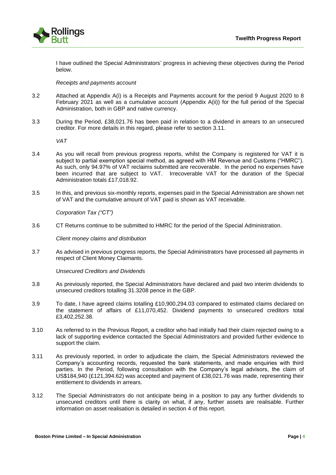

I have outlined the Special Administrators' progress in achieving these objectives during the Period below.

#### *Receipts and payments account*

- 3.2 Attached at Appendix A(i) is a Receipts and Payments account for the period 9 August 2020 to 8 February 2021 as well as a cumulative account (Appendix A(ii)) for the full period of the Special Administration, both in GBP and native currency.
- 3.3 During the Period, £38,021.76 has been paid in relation to a dividend in arrears to an unsecured creditor. For more details in this regard, please refer to section 3.11.

*VAT* 

- 3.4 As you will recall from previous progress reports, whilst the Company is registered for VAT it is subject to partial exemption special method, as agreed with HM Revenue and Customs ("HMRC"). As such, only 94.97% of VAT reclaims submitted are recoverable. In the period no expenses have been incurred that are subject to VAT. Irrecoverable VAT for the duration of the Special Administration totals £17,018.92.
- 3.5 In this, and previous six-monthly reports, expenses paid in the Special Administration are shown net of VAT and the cumulative amount of VAT paid is shown as VAT receivable.

*Corporation Tax ("CT")*

3.6 CT Returns continue to be submitted to HMRC for the period of the Special Administration.

*Client money claims and distribution*

3.7 As advised in previous progress reports, the Special Administrators have processed all payments in respect of Client Money Claimants.

*Unsecured Creditors and Dividends*

- 3.8 As previously reported, the Special Administrators have declared and paid two interim dividends to unsecured creditors totalling 31.3208 pence in the GBP.
- 3.9 To date, I have agreed claims totalling £10,900,294.03 compared to estimated claims declared on the statement of affairs of £11,070,452. Dividend payments to unsecured creditors total £3,402,252.38.
- 3.10 As referred to in the Previous Report, a creditor who had initially had their claim rejected owing to a lack of supporting evidence contacted the Special Administrators and provided further evidence to support the claim.
- 3.11 As previously reported, in order to adjudicate the claim, the Special Administrators reviewed the Company's accounting records, requested the bank statements, and made enquiries with third parties. In the Period, following consultation with the Company's legal advisors, the claim of US\$184,940 (£121,394.62) was accepted and payment of £38,021.76 was made, representing their entitlement to dividends in arrears.
- 3.12 The Special Administrators do not anticipate being in a position to pay any further dividends to unsecured creditors until there is clarity on what, if any, further assets are realisable. Further information on asset realisation is detailed in section 4 of this report.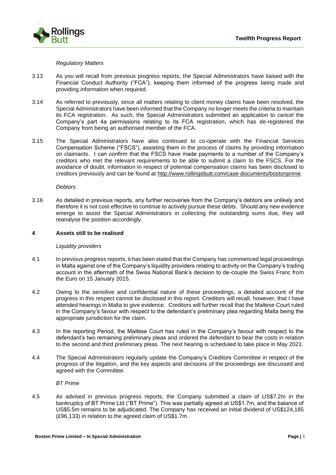

#### *Regulatory Matters*

- 3.13 As you will recall from previous progress reports, the Special Administrators have liaised with the Financial Conduct Authority ("FCA"), keeping them informed of the progress being made and providing information when required.
- 3.14 As referred to previously, since all matters relating to client money claims have been resolved, the Special Administrators have been informed that the Company no longer meets the criteria to maintain its FCA registration. As such, the Special Administrators submitted an application to cancel the Company's part 4a permissions relating to its FCA registration, which has de-registered the Company from being an authorised member of the FCA.
- 3.15 The Special Administrators have also continued to co-operate with the Financial Services Compensation Scheme ("FSCS"), assisting them in the process of claims by providing information on claimants. I can confirm that the FSCS have made payments to a number of the Company's creditors who met the relevant requirements to be able to submit a claim to the FSCS. For the avoidance of doubt, information in respect of potential compensation claims has been disclosed to creditors previously and can be found at [http://www.rollingsbutt.com/case-documents/bostonprime.](http://www.rollingsbutt.com/case-documents/bostonprime)

*Debtors*

3.16 As detailed in previous reports, any further recoveries from the Company's debtors are unlikely and therefore it is not cost-effective to continue to actively pursue these debts. Should any new evidence emerge to assist the Special Administrators in collecting the outstanding sums due, they will reanalyse the position accordingly.

#### **4 Assets still to be realised**

#### *Liquidity providers*

- 4.1 In previous progress reports, it has been stated that the Company has commenced legal proceedings in Malta against one of the Company's liquidity providers relating to activity on the Company's trading account in the aftermath of the Swiss National Bank's decision to de-couple the Swiss Franc from the Euro on 15 January 2015.
- 4.2 Owing to the sensitive and confidential nature of these proceedings, a detailed account of the progress in this respect cannot be disclosed in this report. Creditors will recall, however, that I have attended hearings in Malta to give evidence. Creditors will further recall that the Maltese Court ruled in the Company's favour with respect to the defendant's preliminary plea regarding Malta being the appropriate jurisdiction for the claim.
- 4.3 In the reporting Period, the Maltese Court has ruled in the Company's favour with respect to the defendant's two remaining preliminary pleas and ordered the defendant to bear the costs in relation to the second and third preliminary pleas. The next hearing is scheduled to take place in May 2021.
- 4.4 The Special Administrators regularly update the Company's Creditors Committee in respect of the progress of the litigation, and the key aspects and decisions of the proceedings are discussed and agreed with the Committee.

*BT Prime*

4.5 As advised in previous progress reports, the Company submitted a claim of US\$7.2m in the bankruptcy of BT Prime Ltd ("BT Prime"). This was partially agreed at US\$1.7m, and the balance of US\$5.5m remains to be adjudicated. The Company has received an initial dividend of US\$124,185 (£96,133) in relation to the agreed claim of US\$1.7m.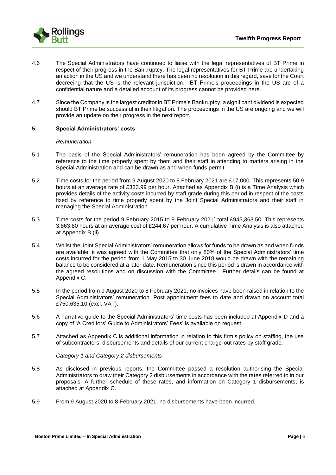

- 4.6 The Special Administrators have continued to liaise with the legal representatives of BT Prime in respect of their progress in the Bankruptcy. The legal representatives for BT Prime are undertaking an action in the US and we understand there has been no resolution in this regard, save for the Court decreeing that the US is the relevant jurisdiction. BT Prime's proceedings in the US are of a confidential nature and a detailed account of its progress cannot be provided here.
- 4.7 Since the Company is the largest creditor in BT Prime's Bankruptcy, a significant dividend is expected should BT Prime be successful in their litigation. The proceedings in the US are ongoing and we will provide an update on their progress in the next report.

#### **5 Special Administrators' costs**

#### *Remuneration*

- 5.1 The basis of the Special Administrators' remuneration has been agreed by the Committee by reference to the time properly spent by them and their staff in attending to matters arising in the Special Administration and can be drawn as and when funds permit.
- 5.2 Time costs for the period from 9 August 2020 to 8 February 2021 are £17,000. This represents 50.9 hours at an average rate of £333.99 per hour. Attached as Appendix B (i) is a Time Analysis which provides details of the activity costs incurred by staff grade during this period in respect of the costs fixed by reference to time properly spent by the Joint Special Administrators and their staff in managing the Special Administration.
- 5.3 Time costs for the period 9 February 2015 to 8 February 2021` total £945,363.50. This represents 3,863.80 hours at an average cost of £244.67 per hour. A cumulative Time Analysis is also attached at Appendix B (ii).
- 5.4 Whilst the Joint Special Administrators' remuneration allows for funds to be drawn as and when funds are available, it was agreed with the Committee that only 80% of the Special Administrators' time costs incurred for the period from 1 May 2015 to 30 June 2018 would be drawn with the remaining balance to be considered at a later date. Remuneration since this period is drawn in accordance with the agreed resolutions and on discussion with the Committee. Further details can be found at Appendix C.
- 5.5 In the period from 9 August 2020 to 8 February 2021, no invoices have been raised in relation to the Special Administrators' remuneration. Post appointment fees to date and drawn on account total £750,635.10 (excl. VAT).
- 5.6 A narrative guide to the Special Administrators' time costs has been included at Appendix D and a copy of 'A Creditors' Guide to Administrators' Fees' is available on request.
- 5.7 Attached as Appendix C is additional information in relation to this firm's policy on staffing, the use of subcontractors, disbursements and details of our current charge-out rates by staff grade.

#### *Category 1 and Category 2 disbursements*

- 5.8 As disclosed in previous reports, the Committee passed a resolution authorising the Special Administrators to draw their Category 2 disbursements in accordance with the rates referred to in our proposals. A further schedule of these rates, and information on Category 1 disbursements, is attached at Appendix C.
- 5.9 From 9 August 2020 to 8 February 2021, no disbursements have been incurred.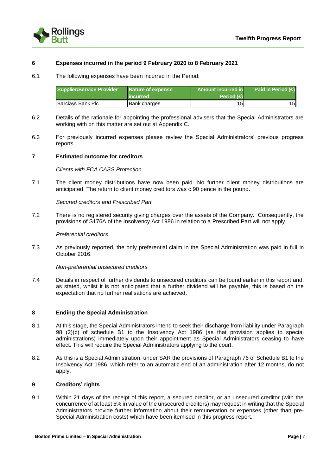

#### **6 Expenses incurred in the period 9 February 2020 to 8 February 2021**

6.1 The following expenses have been incurred in the Period:

| Supplier/Service Provider | Nature of expense<br><b>incurred</b> | Amount incurred in<br>Period $(E)$ | Paid in Period $(E)$ |
|---------------------------|--------------------------------------|------------------------------------|----------------------|
| Barclays Bank Plc         | <b>Bank charges</b>                  | 151                                | 151                  |

- 6.2 Details of the rationale for appointing the professional advisers that the Special Administrators are working with on this matter are set out at Appendix C.
- 6.3 For previously incurred expenses please review the Special Administrators' previous progress reports.

#### **7 Estimated outcome for creditors**

#### *Clients with FCA CASS Protection*

7.1 The client money distributions have now been paid. No further client money distributions are anticipated. The return to client money creditors was c.90 pence in the pound.

*Secured creditors and Prescribed Part*

7.2 There is no registered security giving charges over the assets of the Company. Consequently, the provisions of S176A of the Insolvency Act 1986 in relation to a Prescribed Part will not apply.

#### *Preferential creditors*

7.3 As previously reported, the only preferential claim in the Special Administration was paid in full in October 2016.

#### *Non-preferential unsecured creditors*

7.4 Details in respect of further dividends to unsecured creditors can be found earlier in this report and, as stated, whilst it is not anticipated that a further dividend will be payable, this is based on the expectation that no further realisations are achieved.

#### **8 Ending the Special Administration**

- 8.1 At this stage, the Special Administrators intend to seek their discharge from liability under Paragraph 98 (2)(c) of schedule B1 to the Insolvency Act 1986 (as that provision applies to special administrations) immediately upon their appointment as Special Administrators ceasing to have effect. This will require the Special Administrators applying to the court.
- 8.2 As this is a Special Administration, under SAR the provisions of Paragraph 76 of Schedule B1 to the Insolvency Act 1986, which refer to an automatic end of an administration after 12 months, do not apply.

#### **9 Creditors' rights**

9.1 Within 21 days of the receipt of this report, a secured creditor, or an unsecured creditor (with the concurrence of at least 5% in value of the unsecured creditors) may request in writing that the Special Administrators provide further information about their remuneration or expenses (other than pre-Special Administration costs) which have been itemised in this progress report.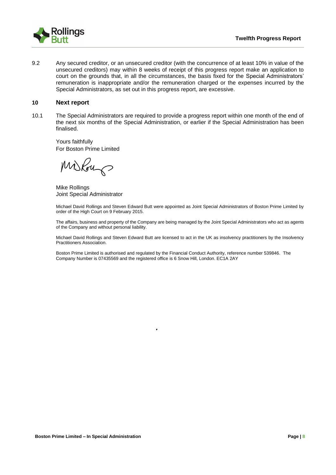

9.2 Any secured creditor, or an unsecured creditor (with the concurrence of at least 10% in value of the unsecured creditors) may within 8 weeks of receipt of this progress report make an application to court on the grounds that, in all the circumstances, the basis fixed for the Special Administrators' remuneration is inappropriate and/or the remuneration charged or the expenses incurred by the Special Administrators, as set out in this progress report, are excessive.

#### **10 Next report**

10.1 The Special Administrators are required to provide a progress report within one month of the end of the next six months of the Special Administration, or earlier if the Special Administration has been finalised.

Yours faithfully For Boston Prime Limited

Miskour

Mike Rollings Joint Special Administrator

Michael David Rollings and Steven Edward Butt were appointed as Joint Special Administrators of Boston Prime Limited by order of the High Court on 9 February 2015.

The affairs, business and property of the Company are being managed by the Joint Special Administrators who act as agents of the Company and without personal liability.

Michael David Rollings and Steven Edward Butt are licensed to act in the UK as insolvency practitioners by the Insolvency Practitioners Association.

Boston Prime Limited is authorised and regulated by the Financial Conduct Authority, reference number 539846. The Company Number is 07435569 and the registered office is 6 Snow Hill, London. EC1A 2AY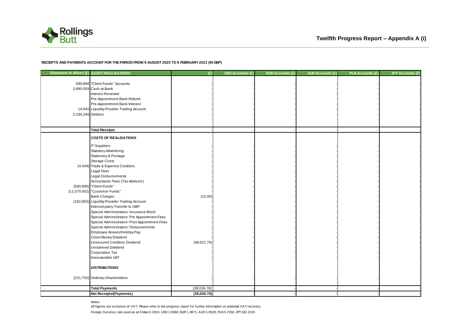

#### **RECEIPTS AND PAYMENTS ACCOUNT FOR THE PERIOD FROM 9 AUGUST 2020 TO 8 FEBRUARY 2021 (IN GBP)**

| Statement of Affairs (£) ASSET REALISATIONS |                                                                                                                                                                                                                                                                                                                                                                                                                                                                                                                                                                                                                                                                                                                                                                                                                                          | (E)                    | USD Accounts (£) | EUR Accounts (£) | <b>AUD Accounts (£)</b> | <b>PLN Accounts (£)</b> | <b>JPY Accounts (£)</b> |
|---------------------------------------------|------------------------------------------------------------------------------------------------------------------------------------------------------------------------------------------------------------------------------------------------------------------------------------------------------------------------------------------------------------------------------------------------------------------------------------------------------------------------------------------------------------------------------------------------------------------------------------------------------------------------------------------------------------------------------------------------------------------------------------------------------------------------------------------------------------------------------------------|------------------------|------------------|------------------|-------------------------|-------------------------|-------------------------|
| 2,194,248 Debtors                           | 590,896 "Client Funds" Accounts<br>3,890,559 Cash at Bank<br>Interest Received<br>Pre-Appointment Bank Refund<br>Pre-Appointment Bank Interest<br>14,945 Liquidity Provider Trading Account                                                                                                                                                                                                                                                                                                                                                                                                                                                                                                                                                                                                                                              |                        |                  |                  |                         |                         |                         |
|                                             | <b>Total Receipts</b>                                                                                                                                                                                                                                                                                                                                                                                                                                                                                                                                                                                                                                                                                                                                                                                                                    |                        |                  |                  |                         |                         |                         |
|                                             | <b>COSTS OF REALISATIONS</b><br><b>IT Suppliers</b><br><b>Statutory Advertising</b><br>Stationery & Postage<br>Storage Costs<br>(4,449) Trade & Expense Creditors<br>Legal Fees<br><b>Legal Disbursements</b><br>Accountants Fees (Tax Advisors)<br>(560,896) "Client Funds"<br>(11,070,452) "Customer Funds"<br><b>Bank Charges</b><br>(182,855) Liquidity Provider Trading Account<br>Intercompany Transfer to GBP<br>Special Administrators' Insurance Bond<br>Special Administrators' Pre Appointment Fees<br>Special Administrators' Post Appointment Fees<br>Special Administrators' Disbursements<br>Employee Arrears/Holiday Pay<br>Client Money Dividend<br><b>Unsecured Creditors Dividend</b><br><b>Unclaimed Dividend</b><br>Corporation Tax<br>Irrecoverable VAT<br><b>DISTRIBUTIONS</b><br>(221,750) Ordinary Shareholders | (15.00)<br>(38,021.76) |                  |                  |                         |                         |                         |
|                                             |                                                                                                                                                                                                                                                                                                                                                                                                                                                                                                                                                                                                                                                                                                                                                                                                                                          |                        |                  |                  |                         |                         |                         |
|                                             | <b>Total Payments</b>                                                                                                                                                                                                                                                                                                                                                                                                                                                                                                                                                                                                                                                                                                                                                                                                                    | (38,036.76)            |                  |                  |                         |                         |                         |
|                                             | <b>Net Receipts/(Payments)</b>                                                                                                                                                                                                                                                                                                                                                                                                                                                                                                                                                                                                                                                                                                                                                                                                           | (38,036.76)            |                  |                  |                         |                         |                         |

Notes:

Foreign Currency rate used as at 6 March 2015: USD 1.5060; EUR 1.3871; AUD 1.9529; PLN 5.7250; JPY182.1316 All figures are exclusive of VAT. Please refer to the progress report for further information on potential VAT recovery.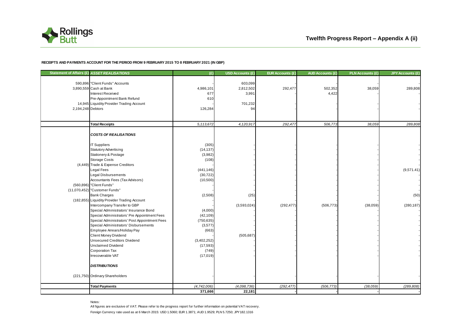

#### **RECEIPTS AND PAYMENTS ACCOUNT FOR THE PERIOD FROM 9 FEBRUARY 2015 TO 8 FEBRUARY 2021 (IN GBP)**

|                   | Statement of Affairs (£) ASSET REALISATIONS   | (E)         | USD Accounts (£) | <b>EUR Accounts (£)</b> | <b>AUD Accounts (£)</b> | <b>PLN Accounts (£)</b> | <b>JPY Accounts (£)</b> |
|-------------------|-----------------------------------------------|-------------|------------------|-------------------------|-------------------------|-------------------------|-------------------------|
|                   | 590,896 "Client Funds" Accounts               |             | 603,099          |                         |                         |                         |                         |
|                   | 3,890,559 Cash at Bank                        | 4,986,101   | 2,812,502        | 292,477                 | 502,352                 | 38,059                  | 289,808                 |
|                   | Interest Received                             | 677         | 3,991            |                         | 4,422                   |                         |                         |
|                   | Pre-Appointment Bank Refund                   | 610         |                  |                         |                         |                         |                         |
|                   | 14,945 Liquidity Provider Trading Account     |             | 701,232          |                         |                         |                         |                         |
| 2,194,248 Debtors |                                               | 126,284     | 94               |                         |                         |                         |                         |
|                   |                                               |             |                  |                         |                         |                         |                         |
|                   | <b>Total Receipts</b>                         | 5,113,672   | 4,120,917        | 292,477                 | 506,773                 | 38,059                  | 289,808                 |
|                   |                                               |             |                  |                         |                         |                         |                         |
|                   | <b>COSTS OF REALISATIONS</b>                  |             |                  |                         |                         |                         |                         |
|                   | <b>IT Suppliers</b>                           | (305)       |                  |                         |                         |                         |                         |
|                   | <b>Statutory Advertising</b>                  | (14, 137)   |                  |                         |                         |                         |                         |
|                   | Stationery & Postage                          | (3,982)     |                  |                         |                         |                         |                         |
|                   | Storage Costs                                 | (108)       |                  |                         |                         |                         |                         |
|                   | (4,449) Trade & Expense Creditors             |             |                  |                         |                         |                         |                         |
|                   | Legal Fees                                    | (441, 146)  |                  |                         |                         |                         | (9,571.41)              |
|                   | Legal Disbursements                           | (30, 722)   |                  |                         |                         |                         |                         |
|                   | Accountants Fees (Tax Advisors)               | (10, 500)   |                  |                         |                         |                         |                         |
|                   | (560,896) "Client Funds"                      |             |                  |                         |                         |                         |                         |
|                   | (11,070,452) "Customer Funds"                 |             |                  |                         |                         |                         |                         |
|                   | <b>Bank Charges</b>                           | (2,508)     | (25)             |                         |                         |                         | (50)                    |
|                   | (182,855) Liquidity Provider Trading Account  |             |                  |                         |                         |                         |                         |
|                   | Intercompany Transfer to GBP                  |             | (3,593,024)      | (292, 477)              | (506, 773)              | (38,059)                | (280, 187)              |
|                   | Special Administrators' Insurance Bond        | (4,000)     |                  |                         |                         |                         |                         |
|                   | Special Administrators' Pre Appointment Fees  | (42, 109)   |                  |                         |                         |                         |                         |
|                   | Special Administrators' Post Appointment Fees | (750, 635)  |                  |                         |                         |                         |                         |
|                   | Special Administrators' Disbursements         | (3,577)     |                  |                         |                         |                         |                         |
|                   | Employee Arrears/Holiday Pay                  | (663)       |                  |                         |                         |                         |                         |
|                   | Client Money Dividend                         |             | (505, 687)       |                         |                         |                         |                         |
|                   | <b>Unsecured Creditors Dividend</b>           | (3,402,252) |                  |                         |                         |                         |                         |
|                   | <b>Unclaimed Dividend</b>                     | (17, 593)   |                  |                         |                         |                         |                         |
|                   | Corporation Tax                               | (749)       |                  |                         |                         |                         |                         |
|                   | Irrecoverable VAT                             | (17, 019)   |                  |                         |                         |                         |                         |
|                   | <b>DISTRIBUTIONS</b>                          |             |                  |                         |                         |                         |                         |
|                   | (221,750) Ordinary Shareholders               |             |                  |                         |                         |                         |                         |
|                   | <b>Total Payments</b>                         | (4,742,006) | (4,098,736)      | (292, 477)              | (506, 773)              | (38,059)                | (289, 808)              |
|                   |                                               | 371,666     | 22,181           |                         |                         |                         |                         |

Notes:

Foreign Currency rate used as at 6 March 2015: USD 1.5060; EUR 1.3871; AUD 1.9529; PLN 5.7250; JPY182.1316 All figures are exclusive of VAT. Please refer to the progress report for further information on potential VAT recovery.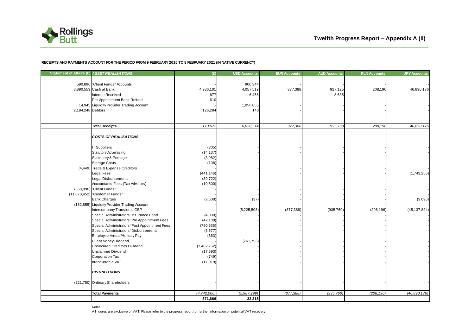

#### **RECEIPTS AND PAYMENTS ACCOUNT FOR THE PERIOD FROM 9 FEBRUARY 2015 TO 8 FEBRUARY 2021 (IN NATIVE CURRENCY)**

|                   | Statement of Affairs (£) ASSET REALISATIONS                                                                                                                                                                                                                                                                                                                                                                                                                                                                                                                                                                                                                                                                                                                                                                                             | (E)                                                                                                                                                                                                  | <b>USD Accounts</b>                               | <b>EUR Accounts</b> | <b>AUD Accounts</b> | <b>PLN Accounts</b> | <b>JPY Accounts</b>                      |
|-------------------|-----------------------------------------------------------------------------------------------------------------------------------------------------------------------------------------------------------------------------------------------------------------------------------------------------------------------------------------------------------------------------------------------------------------------------------------------------------------------------------------------------------------------------------------------------------------------------------------------------------------------------------------------------------------------------------------------------------------------------------------------------------------------------------------------------------------------------------------|------------------------------------------------------------------------------------------------------------------------------------------------------------------------------------------------------|---------------------------------------------------|---------------------|---------------------|---------------------|------------------------------------------|
| 2,194,248 Debtors | 590,896 "Client Funds" Accounts<br>3,890,559 Cash at Bank<br>Interest Received<br>Pre-Appointment Bank Refund<br>14,945 Liquidity Provider Trading Account                                                                                                                                                                                                                                                                                                                                                                                                                                                                                                                                                                                                                                                                              | 4,986,101<br>677<br>610<br>126,284                                                                                                                                                                   | 900,344<br>4,057,519<br>6,456<br>1,056,055<br>140 | 377,388             | 927,125<br>8,635    | 208,196             | 46,890,176                               |
|                   | <b>Total Receipts</b>                                                                                                                                                                                                                                                                                                                                                                                                                                                                                                                                                                                                                                                                                                                                                                                                                   | 5,113,672                                                                                                                                                                                            | 6,020,514                                         | 377,388             | 935,760             | 208,196             | 46,890,176                               |
|                   | <b>COSTS OF REALISATIONS</b><br><b>IT Suppliers</b><br><b>Statutory Advertising</b><br>Stationery & Postage<br>Storage Costs<br>(4,449) Trade & Expense Creditors<br>Legal Fees<br><b>Legal Disbursements</b><br>Accountants Fees (Tax Advisors)<br>(560,896) "Client Funds"<br>(11,070,452) "Customer Funds"<br><b>Bank Charges</b><br>(182,855) Liquidity Provider Trading Account<br>Intercompany Transfer to GBP<br>Special Administrators' Insurance Bond<br>Special Administrators' Pre Appointment Fees<br>Special Administrators' Post Appointment Fees<br>Special Administrators' Disbursements<br>Employee Arreas/Holiday Pay<br>Client Money Dividend<br><b>Unsecured Creditors Dividend</b><br><b>Unclaimed Dividend</b><br>Corporation Tax<br>Irrecoverable VAT<br><b>DISTRIBUTIONS</b><br>(221,750) Ordinary Shareholders | (305)<br>(14, 137)<br>(3,982)<br>(108)<br>(441, 146)<br>(30, 722)<br>(10,500)<br>(2,508)<br>(4,000)<br>(42, 109)<br>(750, 635)<br>(3,577)<br>(663)<br>(3,402,252)<br>(17, 593)<br>(749)<br>(17, 019) | (37)<br>(5,225,508)<br>(761, 753)                 | (377, 388)          | (935, 760)          | (208, 196)          | (1,743,256)<br>(9,096)<br>(45, 137, 824) |
|                   | <b>Total Payments</b>                                                                                                                                                                                                                                                                                                                                                                                                                                                                                                                                                                                                                                                                                                                                                                                                                   | (4,742,006)                                                                                                                                                                                          | (5,987,299)                                       | (377, 388)          | (935, 760)          | (208, 196)          | (46,890,176)                             |
|                   |                                                                                                                                                                                                                                                                                                                                                                                                                                                                                                                                                                                                                                                                                                                                                                                                                                         | 371,666                                                                                                                                                                                              | 33,215                                            |                     |                     |                     |                                          |

Notes:

All figures are exclusive of VAT. Please refer to the progress report for further information on potential VAT recovery.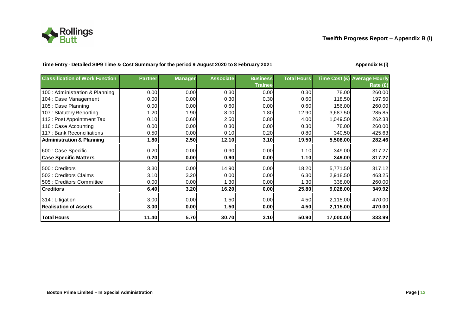

### Time Entry - Detailed SIP9 Time & Cost Summary for the period 9 August 2020 to 8 February 2021 **August 2020 Appendix B** (i)

| <b>Classification of Work Function</b> | <b>Partner</b> | <b>Manager</b> | <b>Associate</b> | <b>Business</b> | <b>Total Hours</b> |           | Time Cost (£) Average Hourly |
|----------------------------------------|----------------|----------------|------------------|-----------------|--------------------|-----------|------------------------------|
|                                        |                |                |                  | <b>Trainee</b>  |                    |           | Rate (£)                     |
| 100 : Administration & Planning        | 0.00           | 0.00           | 0.30             | 0.00            | 0.30               | 78.00     | 260.00                       |
| 104 : Case Management                  | 0.00           | 0.00           | 0.30             | 0.30            | 0.60               | 118.50    | 197.50                       |
| 105 : Case Planning                    | 0.00           | 0.00           | 0.60             | 0.00            | 0.60               | 156.00    | 260.00                       |
| 107: Statutory Reporting               | 1.20           | 1.90           | 8.00             | 1.80            | 12.90              | 3,687.50  | 285.85                       |
| 112: Post Appointment Tax              | 0.10           | 0.60           | 2.50             | 0.80            | 4.00               | 1,049.50  | 262.38                       |
| 116 : Case Accounting                  | 0.00           | 0.00           | 0.30             | 0.00            | 0.30               | 78.00     | 260.00                       |
| 117 : Bank Reconciliations             | 0.50           | 0.00           | 0.10             | 0.20            | 0.80               | 340.50    | 425.63                       |
| <b>Administration &amp; Planning</b>   | 1.80           | 2.50           | 12.10            | 3.10            | 19.50              | 5,508.00  | 282.46                       |
| 600 : Case Specific                    | 0.20           | 0.00           | 0.90             | 0.00            | 1.10               | 349.00    | 317.27                       |
| <b>Case Specific Matters</b>           | 0.20           | 0.00           | 0.90             | 0.00            | 1.10               | 349.00    | 317.27                       |
| 500 : Creditors                        | 3.30           | 0.00           | 14.90            | 0.00            | 18.20              | 5,771.50  | 317.12                       |
| 502 : Creditors Claims                 | 3.10           | 3.20           | 0.00             | 0.00            | 6.30               | 2,918.50  | 463.25                       |
| 505 : Creditors Committee              | 0.00           | 0.00           | 1.30             | 0.00            | 1.30               | 338.00    | 260.00                       |
| <b>Creditors</b>                       | 6.40           | 3.20           | 16.20            | 0.00            | 25.80              | 9,028.00  | 349.92                       |
| 314 : Litigation                       | 3.00           | 0.00           | 1.50             | 0.00            | 4.50               | 2,115.00  | 470.00                       |
| <b>Realisation of Assets</b>           | 3.00           | 0.00           | 1.50             | 0.00            | 4.50               | 2,115.00  | 470.00                       |
| <b>Total Hours</b>                     | 11.40          | 5.70           | 30.70            | 3.10            | 50.90              | 17,000.00 | 333.99                       |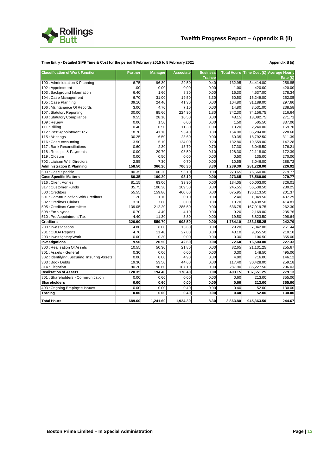

#### **Time Entry - Detailed SIP9 Time & Cost for the period 9 February 2015 to 8 February 2021 Appendix B (ii)**

| <b>Classification of Work Function</b>      | <b>Partner</b> | <b>Manager</b> | <b>Associate</b> | <b>Business</b> | <b>Total Hours</b> |            | Time Cost (£) Average Hourly |
|---------------------------------------------|----------------|----------------|------------------|-----------------|--------------------|------------|------------------------------|
|                                             |                |                |                  | <b>Trainee</b>  |                    |            | Rate $(E)$                   |
| 100 : Administration & Planning             | 6.75           | 96.30          | 29.50            | 0.40            | 132.95             | 34,414.00  | 258.85                       |
| 102: Appointment                            | 1.00           | 0.00           | 0.00             | 0.00            | 1.00               | 420.00     | 420.00                       |
| 103: Background Information                 | 6.40           | 1.60           | 8.30             | 0.00            | 16.30              | 4,537.00   | 278.34                       |
| 104 : Case Management                       | 6.70           | 31.00          | 19.50            | 3.30            | 60.50              | 15,249.00  | 252.05                       |
| 105 : Case Planning                         | 39.10          | 24.40          | 41.30            | 0.00            | 104.80             | 31,189.00  | 297.60                       |
| 106 : Maintanance Of Records                | 3.00           | 4.70           | 7.10             | 0.00            | 14.80              | 3,531.00   | 238.58                       |
| 107: Statutory Reporting                    | 30.00          | 85.60          | 224.90           | 1.80            | 342.30             | 74,156.75  | 216.64                       |
| 108: Statutory Compliance                   | 9.55           | 28.10          | 10.50            | 0.00            | 48.15              | 13,082.75  | 271.71                       |
| 109: Review                                 | 0.00           | 1.50           | 0.00             | 0.00            | 1.50               | 505.50     | 337.00                       |
| 111: Billing                                | 0.40           | 0.50           | 11.30            | 1.00            | 13.20              | 2,240.00   | 169.70                       |
| 112: Post Appointment Tax                   | 18.70          | 41.10          | 93.40            | 0.80            | 154.00             | 35,204.00  | 228.60                       |
| 115: Meetings                               | 30.25          | 6.50           | 23.60            | 0.00            | 60.35              | 18,792.50  | 311.39                       |
| 116 : Case Accounting                       | 3.50           | 5.10           | 124.00           | 0.20            | 132.80             | 19,559.00  | 147.28                       |
| 117: Bank Reconciliations                   | 0.60           | 2.30           | 13.70            | 0.70            | 17.30              | 3,048.50   | 176.21                       |
| 118 : Receipts & Payments                   | 0.00           | 29.70          | 98.50            | 0.10            | 128.30             | 22,118.00  | 172.39                       |
| 119: Closure                                | 0.00           | 0.50           | 0.00             | 0.00            | 0.50               | 135.00     | 270.00                       |
| 702: Liaison With Directors                 | 2.55           | 7.30           | 0.70             | 0.00            | 10.55              | 3,046.00   | 288.72                       |
| <b>Administration &amp; Planning</b>        | 158.50         | 366.20         | 706.30           | 8.30            | 1,239.30           | 281,228.00 | 226.92                       |
| 600 : Case Specific                         | 80.35          | 100.20         | 93.10            | 0.00            | 273.65             | 76,560.00  | 279.77                       |
| <b>Case Specific Matters</b>                | 80.35          | 100.20         | 93.10            | 0.00            | 273.65             | 76,560.00  | 279.77                       |
| 316 : Client Monies                         | 81.15          | 63.00          | 39.90            | 0.00            | 184.05             | 60,003.00  | 326.01                       |
| 317: Customer Funds                         | 35.75          | 100.30         | 109.50           | 0.00            | 245.55             | 56,538.50  | 230.25                       |
| 500 : Creditors                             | 55.55          | 159.80         | 460.60           | 0.00            | 675.95             | 136,113.50 | 201.37                       |
| 501: Communication With Creditors           | 1.20           | 1.10           | 0.10             | 0.00            | 2.40               | 1,049.50   | 437.29                       |
| 502 : Creditors Claims                      | 3.10           | 7.60           | 0.00             | 0.00            | 10.70              | 4,438.50   | 414.81                       |
| 505 : Creditors Committee                   | 139.05         | 212.20         | 285.50           | 0.00            | 636.75             | 167,019.75 | 262.30                       |
| 508 : Employees                             | 0.70           | 4.40           | 4.10             | 0.00            | 9.20               | 2,169.00   | 235.76                       |
| 510 : Pre Appointment Tax                   | 4.40           | 11.30          | 3.80             | 0.00            | 19.50              | 5,823.50   | 298.64                       |
| <b>Creditors</b>                            | 320.90         | 559.70         | 903.50           | 0.00            | 1,784.10           | 433,155.25 | 242.79                       |
| 200 : Investigations                        | 4.80           | 8.80           | 15.60            | 0.00            | 29.20              | 7,342.00   | 251.44                       |
| 201: CDDA Reports                           | 4.70           | 11.40          | 27.00            | 0.00            | 43.10              | 9,055.50   | 210.10                       |
| 203 : Investigatory Work                    | 0.00           | 0.30           | 0.00             | 0.00            | 0.30               | 106.50     | 355.00                       |
| Investigations                              | 9.50           | 20.50          | 42.60            | 0.00            | 72.60              | 16,504.00  | 227.33                       |
| 300 : Realisation Of Assets                 | 10.55          | 50.30          | 21.80            | 0.00            | 82.65              | 21,131.25  | 255.67                       |
| 301 : Assets - General                      | 0.30           | 0.00           | 0.00             | 0.00            | 0.30               | 148.50     | 495.00                       |
| 302: Identifying, Securing, Insuring Assets | 0.00           | 0.00           | 4.90             | 0.00            | 4.90               | 716.00     | 146.12                       |
| 303 : Book Debts                            | 19.30          | 53.50          | 44.60            | 0.00            | 117.40             | 30,428.00  | 259.18                       |
| 314 : Litigation                            | 90.20          | 90.60          | 107.10           | 0.00            | 287.90             | 85,227.50  | 296.03                       |
| <b>Realisation of Assets</b>                | 120.35         | 194.40         | 178.40           | 0.00            | 493.15             | 137,651.25 | 279.13                       |
| 801 : Shareholders - Communication          | 0.00           | 0.60           | 0.00             | 0.00            | 0.60               | 213.00     | 355.00                       |
| <b>Shareholders</b>                         | 0.00           | 0.60           | 0.00             | 0.00            | 0.60               | 213.00     | 355.00                       |
| 403 : Ongoing Employee Issues               | 0.00           | 0.00           | 0.40             | 0.00            | 0.40               | 52.00      | 130.00                       |
| <b>Trading</b>                              | 0.00           | 0.00           | 0.40             | 0.00            | 0.40               | 52.00      | 130.00                       |
| <b>Total Hours</b>                          | 689.60         | 1,241.60       | 1,924.30         | 8.30            | 3,863.80           | 945,363.50 | 244.67                       |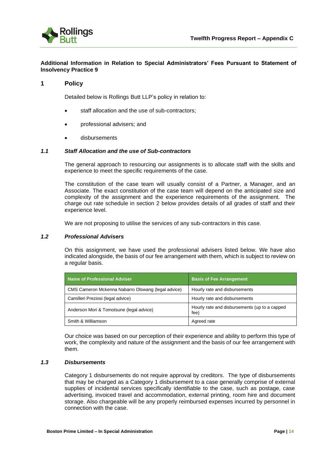

#### **Additional Information in Relation to Special Administrators' Fees Pursuant to Statement of Insolvency Practice 9**

#### **1 Policy**

Detailed below is Rollings Butt LLP's policy in relation to:

- staff allocation and the use of sub-contractors;
- professional advisers; and
- disbursements

#### *1.1 Staff Allocation and the use of Sub-contractors*

The general approach to resourcing our assignments is to allocate staff with the skills and experience to meet the specific requirements of the case.

The constitution of the case team will usually consist of a Partner, a Manager, and an Associate. The exact constitution of the case team will depend on the anticipated size and complexity of the assignment and the experience requirements of the assignment. The charge out rate schedule in section 2 below provides details of all grades of staff and their experience level.

We are not proposing to utilise the services of any sub-contractors in this case.

#### *1.2 Professional Advisers*

On this assignment, we have used the professional advisers listed below. We have also indicated alongside, the basis of our fee arrangement with them, which is subject to review on a regular basis.

| <b>Name of Professional Adviser</b>                | <b>Basis of Fee Arrangement</b>                       |
|----------------------------------------------------|-------------------------------------------------------|
| CMS Cameron Mckenna Nabarro Olswang (legal advice) | Hourly rate and disbursements                         |
| Camilleri Preziosi (legal advice)                  | Hourly rate and disbursements                         |
| Anderson Mori & Tomotsune (legal advice)           | Hourly rate and disbursements (up to a capped<br>fee) |
| Smith & Williamson                                 | Agreed rate                                           |

Our choice was based on our perception of their experience and ability to perform this type of work, the complexity and nature of the assignment and the basis of our fee arrangement with them.

#### *1.3 Disbursements*

Category 1 disbursements do not require approval by creditors. The type of disbursements that may be charged as a Category 1 disbursement to a case generally comprise of external supplies of incidental services specifically identifiable to the case, such as postage, case advertising, invoiced travel and accommodation, external printing, room hire and document storage. Also chargeable will be any properly reimbursed expenses incurred by personnel in connection with the case.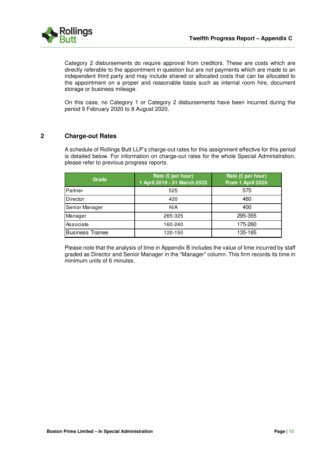

Category 2 disbursements do require approval from creditors. These are costs which are directly referable to the appointment in question but are not payments which are made to an independent third party and may include shared or allocated costs that can be allocated to the appointment on a proper and reasonable basis such as internal room hire, document storage or business mileage.

On this case, no Category 1 or Category 2 disbursements have been incurred during the period 9 February 2020 to 8 August 2020.

### **2 Charge-out Rates**

A schedule of Rollings Butt LLP's charge-out rates for this assignment effective for this period is detailed below. For information on charge-out rates for the whole Special Administration, please refer to previous progress reports.

| Grade                   | Rate $(E$ per hour)<br>1 April 2019 - 31 March 2020 | Rate $(E$ per hour)<br>From 1 April 2020 |
|-------------------------|-----------------------------------------------------|------------------------------------------|
| Partner                 | 525                                                 | 575                                      |
| Director                | 420                                                 | 460                                      |
| Senior Manager          | N/A                                                 | 400                                      |
| Manager                 | 265-325                                             | 295-355                                  |
| Associate               | 160-240                                             | 175-260                                  |
| <b>Business Trainee</b> | 120-150                                             | 135-165                                  |

Please note that the analysis of time in Appendix B includes the value of time incurred by staff graded as Director and Senior Manager in the "Manager" column. This firm records its time in minimum units of 6 minutes.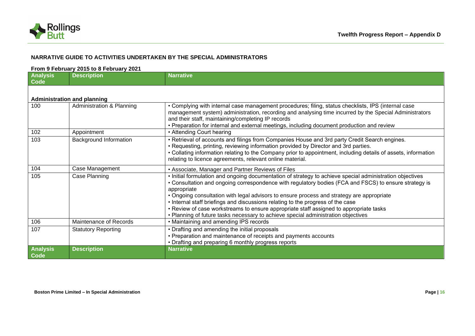

## **NARRATIVE GUIDE TO ACTIVITIES UNDERTAKEN BY THE SPECIAL ADMINISTRATORS**

#### **From 9 February 2015 to 8 February 2021**

| <b>Analysis</b><br>Code | <b>Description</b>                 | <b>Narrative</b>                                                                                                                                                                                                                                                                                                                                                                                                                                                                                                                                                                                |
|-------------------------|------------------------------------|-------------------------------------------------------------------------------------------------------------------------------------------------------------------------------------------------------------------------------------------------------------------------------------------------------------------------------------------------------------------------------------------------------------------------------------------------------------------------------------------------------------------------------------------------------------------------------------------------|
|                         | <b>Administration and planning</b> |                                                                                                                                                                                                                                                                                                                                                                                                                                                                                                                                                                                                 |
| 100                     | Administration & Planning          | • Complying with internal case management procedures; filing, status checklists, IPS (internal case<br>management system) administration, recording and analysing time incurred by the Special Administrators<br>and their staff, maintaining/completing IP records<br>• Preparation for internal and external meetings, including document production and review                                                                                                                                                                                                                               |
| 102                     | Appointment                        | • Attending Court hearing                                                                                                                                                                                                                                                                                                                                                                                                                                                                                                                                                                       |
| 103                     | <b>Background Information</b>      | • Retrieval of accounts and filings from Companies House and 3rd party Credit Search engines.<br>• Requesting, printing, reviewing information provided by Director and 3rd parties.<br>• Collating information relating to the Company prior to appointment, including details of assets, information<br>relating to licence agreements, relevant online material.                                                                                                                                                                                                                             |
| 104                     | Case Management                    | • Associate, Manager and Partner Reviews of Files                                                                                                                                                                                                                                                                                                                                                                                                                                                                                                                                               |
| 105                     | Case Planning                      | . Initial formulation and ongoing documentation of strategy to achieve special administration objectives<br>• Consultation and ongoing correspondence with regulatory bodies (FCA and FSCS) to ensure strategy is<br>appropriate<br>• Ongoing consultation with legal advisors to ensure process and strategy are appropriate<br>. Internal staff briefings and discussions relating to the progress of the case<br>• Review of case workstreams to ensure appropriate staff assigned to appropriate tasks<br>• Planning of future tasks necessary to achieve special administration objectives |
| 106                     | Maintenance of Records             | • Maintaining and amending IPS records                                                                                                                                                                                                                                                                                                                                                                                                                                                                                                                                                          |
| 107                     | <b>Statutory Reporting</b>         | • Drafting and amending the initial proposals<br>• Preparation and maintenance of receipts and payments accounts<br>• Drafting and preparing 6 monthly progress reports                                                                                                                                                                                                                                                                                                                                                                                                                         |
| <b>Analysis</b><br>Code | <b>Description</b>                 | <b>Narrative</b>                                                                                                                                                                                                                                                                                                                                                                                                                                                                                                                                                                                |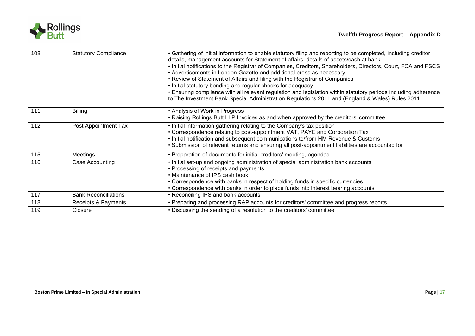

| 108 | <b>Statutory Compliance</b> | • Gathering of initial information to enable statutory filing and reporting to be completed, including creditor<br>details, management accounts for Statement of affairs, details of assets/cash at bank<br>• Initial notifications to the Registrar of Companies, Creditors, Shareholders, Directors, Court, FCA and FSCS<br>• Advertisements in London Gazette and additional press as necessary<br>• Review of Statement of Affairs and filing with the Registrar of Companies<br>• Initial statutory bonding and regular checks for adequacy<br>. Ensuring compliance with all relevant regulation and legislation within statutory periods including adherence<br>to The Investment Bank Special Administration Regulations 2011 and (England & Wales) Rules 2011. |
|-----|-----------------------------|-------------------------------------------------------------------------------------------------------------------------------------------------------------------------------------------------------------------------------------------------------------------------------------------------------------------------------------------------------------------------------------------------------------------------------------------------------------------------------------------------------------------------------------------------------------------------------------------------------------------------------------------------------------------------------------------------------------------------------------------------------------------------|
| 111 | <b>Billing</b>              | • Analysis of Work in Progress<br>• Raising Rollings Butt LLP Invoices as and when approved by the creditors' committee                                                                                                                                                                                                                                                                                                                                                                                                                                                                                                                                                                                                                                                 |
| 112 | Post Appointment Tax        | • Initial information gathering relating to the Company's tax position<br>• Correspondence relating to post-appointment VAT, PAYE and Corporation Tax<br>. Initial notification and subsequent communications to/from HM Revenue & Customs<br>• Submission of relevant returns and ensuring all post-appointment liabilities are accounted for                                                                                                                                                                                                                                                                                                                                                                                                                          |
| 115 | Meetings                    | • Preparation of documents for initial creditors' meeting, agendas                                                                                                                                                                                                                                                                                                                                                                                                                                                                                                                                                                                                                                                                                                      |
| 116 | Case Accounting             | . Initial set-up and ongoing administration of special administration bank accounts<br>• Processing of receipts and payments<br>• Maintenance of IPS cash book<br>• Correspondence with banks in respect of holding funds in specific currencies<br>• Correspondence with banks in order to place funds into interest bearing accounts                                                                                                                                                                                                                                                                                                                                                                                                                                  |
| 117 | <b>Bank Reconciliations</b> | • Reconciling IPS and bank accounts                                                                                                                                                                                                                                                                                                                                                                                                                                                                                                                                                                                                                                                                                                                                     |
| 118 | Receipts & Payments         | • Preparing and processing R&P accounts for creditors' committee and progress reports.                                                                                                                                                                                                                                                                                                                                                                                                                                                                                                                                                                                                                                                                                  |
| 119 | Closure                     | • Discussing the sending of a resolution to the creditors' committee                                                                                                                                                                                                                                                                                                                                                                                                                                                                                                                                                                                                                                                                                                    |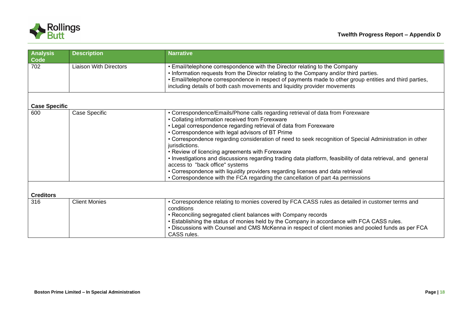

| <b>Analysis</b><br>Code | <b>Description</b>            | <b>Narrative</b>                                                                                                                                                                                                                                                                                                                                             |
|-------------------------|-------------------------------|--------------------------------------------------------------------------------------------------------------------------------------------------------------------------------------------------------------------------------------------------------------------------------------------------------------------------------------------------------------|
| 702                     | <b>Liaison With Directors</b> | • Email/telephone correspondence with the Director relating to the Company<br>. Information requests from the Director relating to the Company and/or third parties.<br>• Email/telephone correspondence in respect of payments made to other group entities and third parties,<br>including details of both cash movements and liquidity provider movements |
|                         |                               |                                                                                                                                                                                                                                                                                                                                                              |
| <b>Case Specific</b>    |                               |                                                                                                                                                                                                                                                                                                                                                              |
| 600                     | Case Specific                 | • Correspondence/Emails/Phone calls regarding retrieval of data from Forexware                                                                                                                                                                                                                                                                               |
|                         |                               | • Collating information received from Forexware                                                                                                                                                                                                                                                                                                              |
|                         |                               | • Legal correspondence regarding retrieval of data from Forexware                                                                                                                                                                                                                                                                                            |
|                         |                               | • Correspondence with legal advisors of BT Prime                                                                                                                                                                                                                                                                                                             |
|                         |                               | • Correspondence regarding consideration of need to seek recognition of Special Administration in other<br>jurisdictions.                                                                                                                                                                                                                                    |
|                         |                               | • Review of licencing agreements with Forexware                                                                                                                                                                                                                                                                                                              |
|                         |                               | • Investigations and discussions regarding trading data platform, feasibility of data retrieval, and general<br>access to "back office" systems                                                                                                                                                                                                              |
|                         |                               | • Correspondence with liquidity providers regarding licenses and data retrieval                                                                                                                                                                                                                                                                              |
|                         |                               | • Correspondence with the FCA regarding the cancellation of part 4a permissions                                                                                                                                                                                                                                                                              |
| <b>Creditors</b>        |                               |                                                                                                                                                                                                                                                                                                                                                              |
| 316                     | <b>Client Monies</b>          | • Correspondence relating to monies covered by FCA CASS rules as detailed in customer terms and                                                                                                                                                                                                                                                              |
|                         |                               | conditions                                                                                                                                                                                                                                                                                                                                                   |
|                         |                               | • Reconciling segregated client balances with Company records                                                                                                                                                                                                                                                                                                |
|                         |                               | . Establishing the status of monies held by the Company in accordance with FCA CASS rules.                                                                                                                                                                                                                                                                   |
|                         |                               | . Discussions with Counsel and CMS McKenna in respect of client monies and pooled funds as per FCA                                                                                                                                                                                                                                                           |
|                         |                               | CASS rules.                                                                                                                                                                                                                                                                                                                                                  |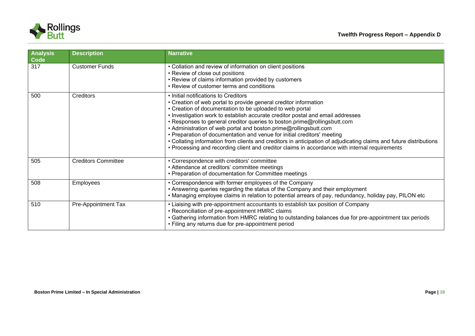

| <b>Analysis</b><br>Code | <b>Description</b>         | <b>Narrative</b>                                                                                                                                                                                                                                                                                                                                                                                                                                                                                                                                                                                                                                                                                          |
|-------------------------|----------------------------|-----------------------------------------------------------------------------------------------------------------------------------------------------------------------------------------------------------------------------------------------------------------------------------------------------------------------------------------------------------------------------------------------------------------------------------------------------------------------------------------------------------------------------------------------------------------------------------------------------------------------------------------------------------------------------------------------------------|
| 317                     | <b>Customer Funds</b>      | • Collation and review of information on client positions<br>• Review of close out positions<br>• Review of claims information provided by customers<br>• Review of customer terms and conditions                                                                                                                                                                                                                                                                                                                                                                                                                                                                                                         |
| 500                     | Creditors                  | • Initial notifications to Creditors<br>• Creation of web portal to provide general creditor information<br>• Creation of documentation to be uploaded to web portal<br>. Investigation work to establish accurate creditor postal and email addresses<br>• Responses to general creditor queries to boston.prime@rollingsbutt.com<br>• Administration of web portal and boston.prime@rollingsbutt.com<br>• Preparation of documentation and venue for initial creditors' meeting<br>• Collating information from clients and creditors in anticipation of adjudicating claims and future distributions<br>• Processing and recording client and creditor claims in accordance with internal requirements |
| 505                     | <b>Creditors Committee</b> | • Correspondence with creditors' committee<br>• Attendance at creditors' committee meetings<br>• Preparation of documentation for Committee meetings                                                                                                                                                                                                                                                                                                                                                                                                                                                                                                                                                      |
| 508                     | <b>Employees</b>           | • Correspondence with former employees of the Company<br>• Answering queries regarding the status of the Company and their employment<br>• Managing employee claims in relation to potential arrears of pay, redundancy, holiday pay, PILON etc                                                                                                                                                                                                                                                                                                                                                                                                                                                           |
| 510                     | Pre-Appointment Tax        | • Liaising with pre-appointment accountants to establish tax position of Company<br>• Reconciliation of pre-appointment HMRC claims<br>• Gathering information from HMRC relating to outstanding balances due for pre-appointment tax periods<br>• Filing any returns due for pre-appointment period                                                                                                                                                                                                                                                                                                                                                                                                      |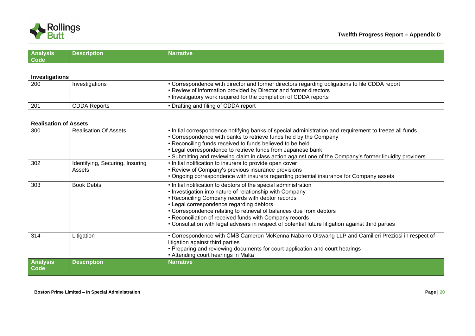

| <b>Analysis</b><br><b>Code</b> | <b>Description</b>                        | <b>Narrative</b>                                                                                                                                                                                                                                                                                                                                                                                                                                                     |  |
|--------------------------------|-------------------------------------------|----------------------------------------------------------------------------------------------------------------------------------------------------------------------------------------------------------------------------------------------------------------------------------------------------------------------------------------------------------------------------------------------------------------------------------------------------------------------|--|
| Investigations                 |                                           |                                                                                                                                                                                                                                                                                                                                                                                                                                                                      |  |
| 200                            | Investigations                            | • Correspondence with director and former directors regarding obligations to file CDDA report<br>• Review of information provided by Director and former directors<br>• Investigatory work required for the completion of CDDA reports                                                                                                                                                                                                                               |  |
| 201                            | <b>CDDA Reports</b>                       | • Drafting and filing of CDDA report                                                                                                                                                                                                                                                                                                                                                                                                                                 |  |
| <b>Realisation of Assets</b>   |                                           |                                                                                                                                                                                                                                                                                                                                                                                                                                                                      |  |
| 300                            | <b>Realisation Of Assets</b>              | . Initial correspondence notifying banks of special administration and requirement to freeze all funds<br>• Correspondence with banks to retrieve funds held by the Company<br>• Reconciling funds received to funds believed to be held<br>• Legal correspondence to retrieve funds from Japanese bank<br>• Submitting and reviewing claim in class action against one of the Company's former liquidity providers                                                  |  |
| 302                            | Identifying, Securing, Insuring<br>Assets | . Initial notification to insurers to provide open cover<br>• Review of Company's previous insurance provisions<br>• Ongoing correspondence with insurers regarding potential insurance for Company assets                                                                                                                                                                                                                                                           |  |
| 303                            | <b>Book Debts</b>                         | • Initial notification to debtors of the special administration<br>• Investigation into nature of relationship with Company<br>• Reconciling Company records with debtor records<br>• Legal correspondence regarding debtors<br>• Correspondence relating to retrieval of balances due from debtors<br>• Reconciliation of received funds with Company records<br>• Consultation with legal advisers in respect of potential future litigation against third parties |  |
| 314                            | Litigation                                | • Correspondence with CMS Cameron McKenna Nabarro Olswang LLP and Camilleri Preziosi in respect of<br>litigation against third parties<br>• Preparing and reviewing documents for court application and court hearings<br>• Attending court hearings in Malta                                                                                                                                                                                                        |  |
| <b>Analysis</b><br>Code        | <b>Description</b>                        | <b>Narrative</b>                                                                                                                                                                                                                                                                                                                                                                                                                                                     |  |